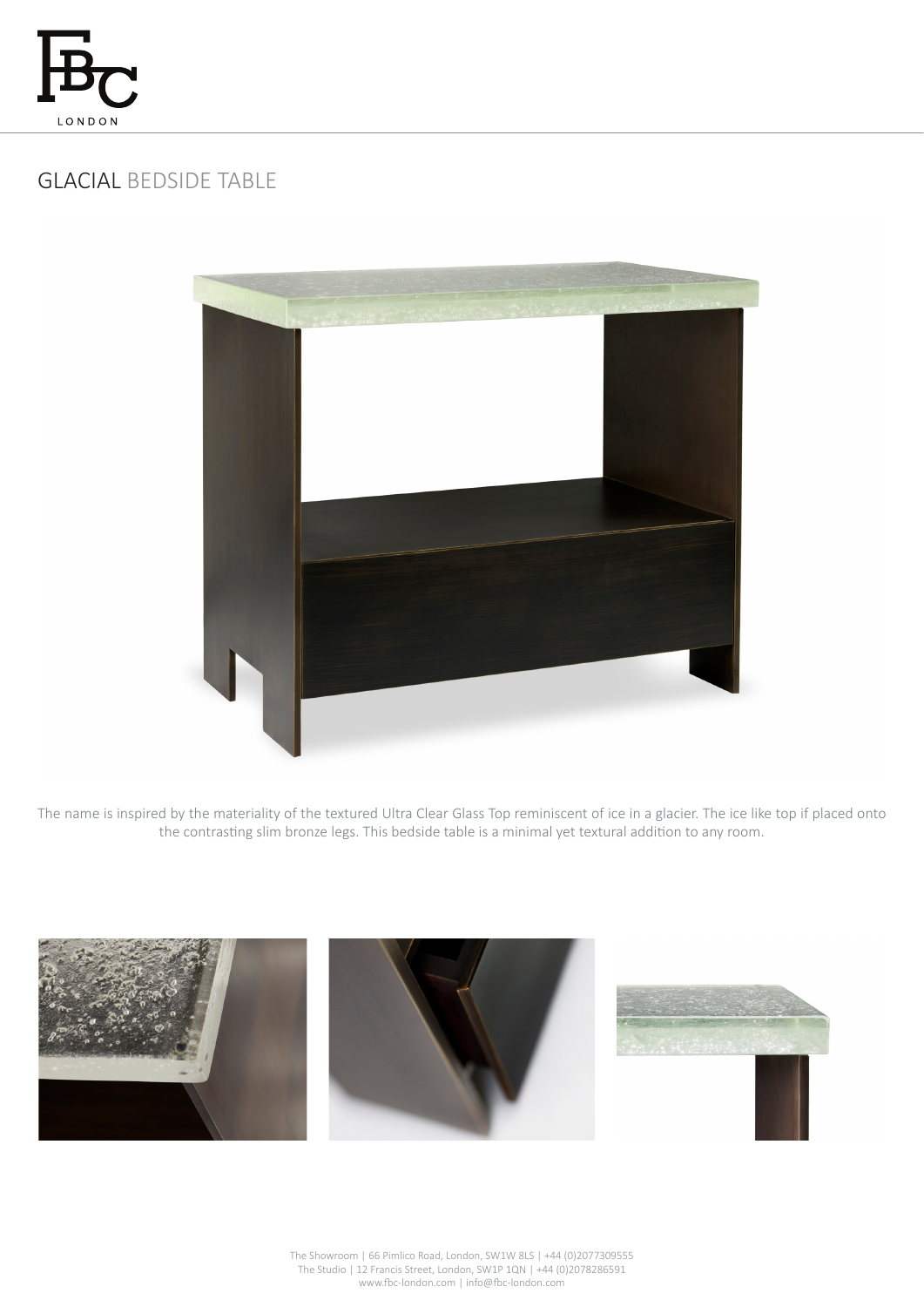

## GLACIAL BEDSIDE TABLE



The name is inspired by the materiality of the textured Ultra Clear Glass Top reminiscent of ice in a glacier. The ice like top if placed onto the contrasting slim bronze legs. This bedside table is a minimal yet textural addition to any room.